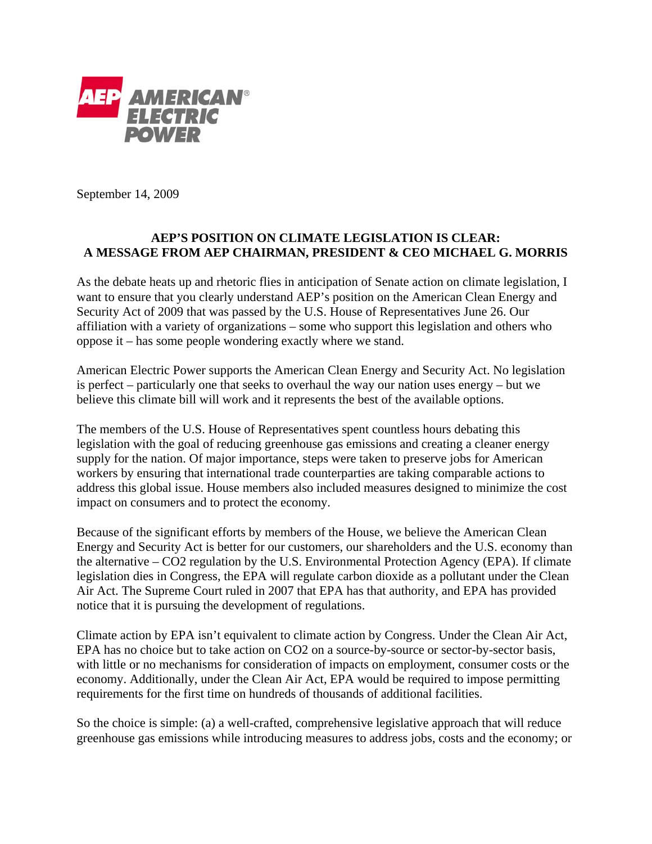

September 14, 2009

## **AEP'S POSITION ON CLIMATE LEGISLATION IS CLEAR: A MESSAGE FROM AEP CHAIRMAN, PRESIDENT & CEO MICHAEL G. MORRIS**

As the debate heats up and rhetoric flies in anticipation of Senate action on climate legislation, I want to ensure that you clearly understand AEP's position on the American Clean Energy and Security Act of 2009 that was passed by the U.S. House of Representatives June 26. Our affiliation with a variety of organizations – some who support this legislation and others who oppose it – has some people wondering exactly where we stand.

American Electric Power supports the American Clean Energy and Security Act. No legislation is perfect – particularly one that seeks to overhaul the way our nation uses energy – but we believe this climate bill will work and it represents the best of the available options.

The members of the U.S. House of Representatives spent countless hours debating this legislation with the goal of reducing greenhouse gas emissions and creating a cleaner energy supply for the nation. Of major importance, steps were taken to preserve jobs for American workers by ensuring that international trade counterparties are taking comparable actions to address this global issue. House members also included measures designed to minimize the cost impact on consumers and to protect the economy.

Because of the significant efforts by members of the House, we believe the American Clean Energy and Security Act is better for our customers, our shareholders and the U.S. economy than the alternative – CO2 regulation by the U.S. Environmental Protection Agency (EPA). If climate legislation dies in Congress, the EPA will regulate carbon dioxide as a pollutant under the Clean Air Act. The Supreme Court ruled in 2007 that EPA has that authority, and EPA has provided notice that it is pursuing the development of regulations.

Climate action by EPA isn't equivalent to climate action by Congress. Under the Clean Air Act, EPA has no choice but to take action on CO2 on a source-by-source or sector-by-sector basis, with little or no mechanisms for consideration of impacts on employment, consumer costs or the economy. Additionally, under the Clean Air Act, EPA would be required to impose permitting requirements for the first time on hundreds of thousands of additional facilities.

So the choice is simple: (a) a well-crafted, comprehensive legislative approach that will reduce greenhouse gas emissions while introducing measures to address jobs, costs and the economy; or